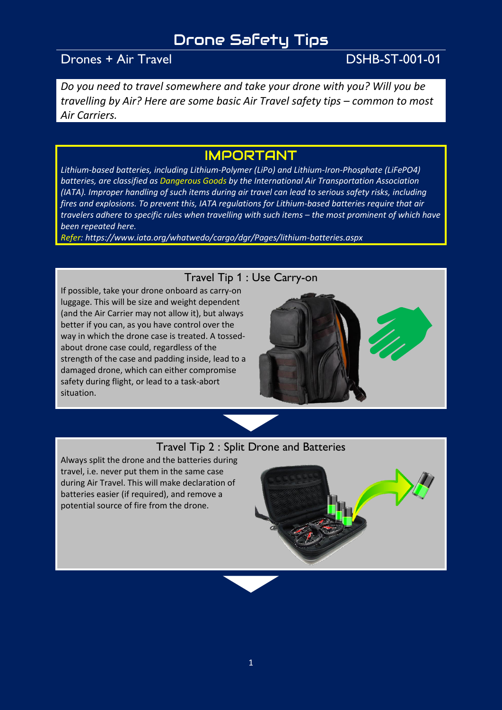# Drone Safety Tips

## Drones + Air Travel DSHB-ST-001-01

*Do you need to travel somewhere and take your drone with you? Will you be travelling by Air? Here are some basic Air Travel safety tips – common to most Air Carriers.*

## IMPORTANT

*Lithium-based batteries, including Lithium-Polymer (LiPo) and Lithium-Iron-Phosphate (LiFePO4) batteries, are classified as Dangerous Goods by the International Air Transportation Association (IATA). Improper handling of such items during air travel can lead to serious safety risks, including fires and explosions. To prevent this, IATA regulations for Lithium-based batteries require that air travelers adhere to specific rules when travelling with such items – the most prominent of which have been repeated here.*

*Refer: https://www.iata.org/whatwedo/cargo/dgr/Pages/lithium-batteries.aspx*

#### Travel Tip 1 : Use Carry-on

If possible, take your drone onboard as carry-on luggage. This will be size and weight dependent (and the Air Carrier may not allow it), but always better if you can, as you have control over the way in which the drone case is treated. A tossedabout drone case could, regardless of the strength of the case and padding inside, lead to a damaged drone, which can either compromise safety during flight, or lead to a task-abort situation.



### Travel Tip 2 : Split Drone and Batteries

Always split the drone and the batteries during travel, i.e. never put them in the same case during Air Travel. This will make declaration of batteries easier (if required), and remove a potential source of fire from the drone.

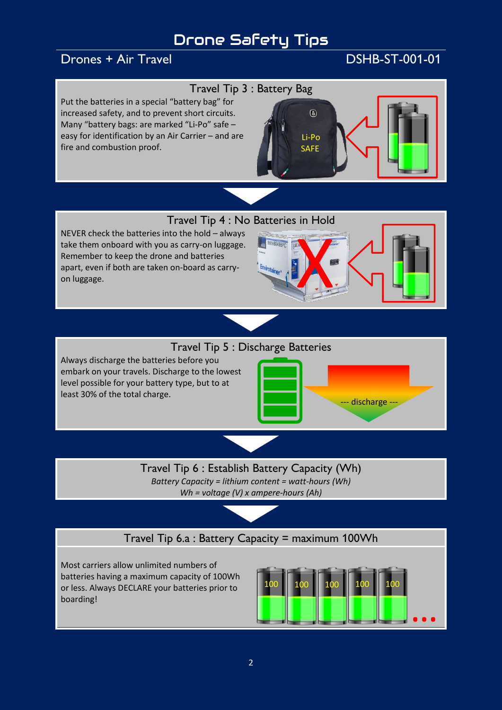# Drone Safety Tips

## Drones + Air Travel DSHB-ST-001-01

#### Travel Tip 3 : Battery Bag

Put the batteries in a special "battery bag" for increased safety, and to prevent short circuits. Many "battery bags: are marked "Li-Po" safe – easy for identification by an Air Carrier – and are fire and combustion proof.



Travel Tip 4 : No Batteries in Hold

NEVER check the batteries into the hold – always take them onboard with you as carry-on luggage. Remember to keep the drone and batteries apart, even if both are taken on-board as carryon luggage.



#### Travel Tip 5 : Discharge Batteries

Always discharge the batteries before you embark on your travels. Discharge to the lowest level possible for your battery type, but to at least 30% of the total charge.



Travel Tip 6 : Establish Battery Capacity (Wh) *Battery Capacity = lithium content = watt-hours (Wh) Wh = voltage (V) x ampere-hours (Ah)*

## Travel Tip 6.a : Battery Capacity = maximum 100Wh

Most carriers allow unlimited numbers of batteries having a maximum capacity of 100Wh or less. Always DECLARE your batteries prior to boarding!